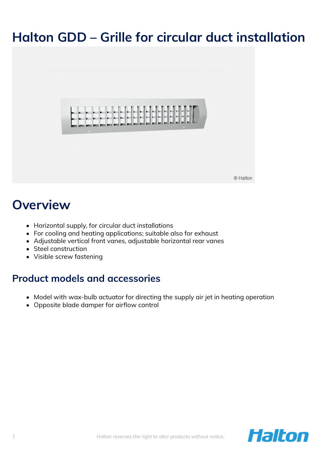# **Halton GDD – Grille for circular duct installation**



# **Overview**

- Horizontal supply, for circular duct installations
- For cooling and heating applications; suitable also for exhaust
- Adjustable vertical front vanes, adjustable horizontal rear vanes
- Steel construction
- Visible screw fastening

## **Product models and accessories**

- Model with wax-bulb actuator for directing the supply air jet in heating operation
- Opposite blade damper for airflow control

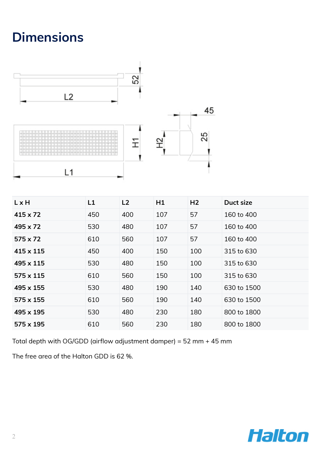# **Dimensions**



| $L \times H$     | L1  | L2  | H1  | H <sub>2</sub> | Duct size   |
|------------------|-----|-----|-----|----------------|-------------|
| $415 \times 72$  | 450 | 400 | 107 | 57             | 160 to 400  |
| $495 \times 72$  | 530 | 480 | 107 | 57             | 160 to 400  |
| $575 \times 72$  | 610 | 560 | 107 | 57             | 160 to 400  |
| $415 \times 115$ | 450 | 400 | 150 | 100            | 315 to 630  |
| $495 \times 115$ | 530 | 480 | 150 | 100            | 315 to 630  |
| $575 \times 115$ | 610 | 560 | 150 | 100            | 315 to 630  |
| $495 \times 155$ | 530 | 480 | 190 | 140            | 630 to 1500 |
| $575 \times 155$ | 610 | 560 | 190 | 140            | 630 to 1500 |
| $495 \times 195$ | 530 | 480 | 230 | 180            | 800 to 1800 |
| $575 \times 195$ | 610 | 560 | 230 | 180            | 800 to 1800 |

Total depth with OG/GDD (airflow adjustment damper) = 52 mm + 45 mm

The free area of the Halton GDD is 62 %.

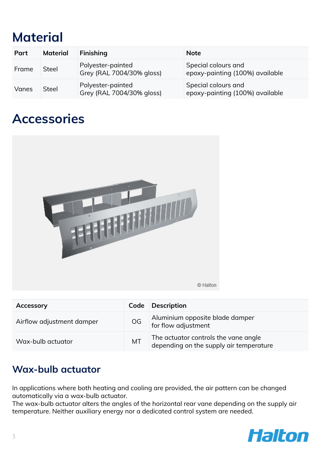# **Material**

| Part  | <b>Material</b> | Finishing                                      | <b>Note</b>                                            |  |
|-------|-----------------|------------------------------------------------|--------------------------------------------------------|--|
| Frame | <b>Steel</b>    | Polyester-painted<br>Grey (RAL 7004/30% gloss) | Special colours and<br>epoxy-painting (100%) available |  |
| Vanes | <b>Steel</b>    | Polyester-painted<br>Grey (RAL 7004/30% gloss) | Special colours and<br>epoxy-painting (100%) available |  |

# **Accessories**



| Accessory                 | Code | Description                                                                     |
|---------------------------|------|---------------------------------------------------------------------------------|
| Airflow adjustment damper | OG   | Aluminium opposite blade damper<br>for flow adjustment                          |
| Wax-bulb actuator         | MT   | The actuator controls the vane angle<br>depending on the supply air temperature |

## **Wax-bulb actuator**

In applications where both heating and cooling are provided, the air pattern can be changed automatically via a wax-bulb actuator.

The wax-bulb actuator alters the angles of the horizontal rear vane depending on the supply air temperature. Neither auxiliary energy nor a dedicated control system are needed.

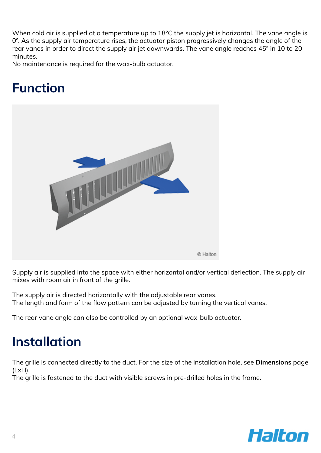When cold air is supplied at a temperature up to 18°C the supply jet is horizontal. The vane angle is 0°. As the supply air temperature rises, the actuator piston progressively changes the angle of the rear vanes in order to direct the supply air jet downwards. The vane angle reaches 45° in 10 to 20 minutes.

No maintenance is required for the wax-bulb actuator.

## **Function**



Supply air is supplied into the space with either horizontal and/or vertical deflection. The supply air mixes with room air in front of the grille.

The supply air is directed horizontally with the adjustable rear vanes. The length and form of the flow pattern can be adjusted by turning the vertical vanes.

The rear vane angle can also be controlled by an optional wax-bulb actuator.

# **Installation**

The grille is connected directly to the duct. For the size of the installation hole, see **Dimensions** page (LxH).

The grille is fastened to the duct with visible screws in pre-drilled holes in the frame.

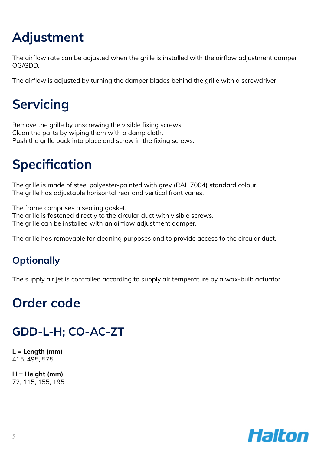# **Adjustment**

The airflow rate can be adjusted when the grille is installed with the airflow adjustment damper OG/GDD.

The airflow is adjusted by turning the damper blades behind the grille with a screwdriver

# **Servicing**

Remove the grille by unscrewing the visible fixing screws. Clean the parts by wiping them with a damp cloth. Push the grille back into place and screw in the fixing screws.

# **Specification**

The grille is made of steel polyester-painted with grey (RAL 7004) standard colour. The grille has adjustable horisontal rear and vertical front vanes.

The frame comprises a sealing gasket. The grille is fastened directly to the circular duct with visible screws. The grille can be installed with an airflow adjustment damper.

The grille has removable for cleaning purposes and to provide access to the circular duct.

## **Optionally**

The supply air jet is controlled according to supply air temperature by a wax-bulb actuator.

# **Order code**

## **GDD-L-H; CO-AC-ZT**

**L = Length (mm)** 415, 495, 575

**H = Height (mm)** 72, 115, 155, 195